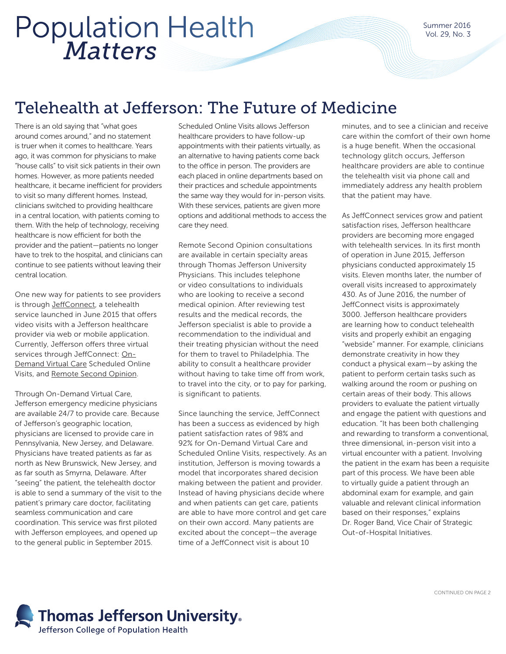## *Matters* Population Health

Summer 2016 Vol. 29, No. 3

## Telehealth at Jefferson: The Future of Medicine

There is an old saying that "what goes around comes around," and no statement is truer when it comes to healthcare. Years ago, it was common for physicians to make "house calls" to visit sick patients in their own homes. However, as more patients needed healthcare, it became inefficient for providers to visit so many different homes. Instead, clinicians switched to providing healthcare in a central location, with patients coming to them. With the help of technology, receiving healthcare is now efficient for both the provider and the patient—patients no longer have to trek to the hospital, and clinicians can continue to see patients without leaving their central location.

One new way for patients to see providers is through [JeffConnect,](http://hospitals.jefferson.edu/jeffconnect/) a telehealth service launched in June 2015 that offers video visits with a Jefferson healthcare provider via web or mobile application. Currently, Jefferson offers three virtual services through JeffConnect: [On-](http://hospitals.jefferson.edu/jeffconnect/types-of-visits/on-demand-virtual-care/)[Demand Virtual Care](http://hospitals.jefferson.edu/jeffconnect/types-of-visits/on-demand-virtual-care/) Scheduled Online Visits, and [Remote Second Opinion.](http://hospitals.jefferson.edu/remote-second-opinion/)

Through On-Demand Virtual Care, Jefferson emergency medicine physicians are available 24/7 to provide care. Because of Jefferson's geographic location, physicians are licensed to provide care in Pennsylvania, New Jersey, and Delaware. Physicians have treated patients as far as north as New Brunswick, New Jersey, and as far south as Smyrna, Delaware. After "seeing" the patient, the telehealth doctor is able to send a summary of the visit to the patient's primary care doctor, facilitating seamless communication and care coordination. This service was first piloted with Jefferson employees, and opened up to the general public in September 2015.

Scheduled Online Visits allows Jefferson healthcare providers to have follow-up appointments with their patients virtually, as an alternative to having patients come back to the office in person. The providers are each placed in online departments based on their practices and schedule appointments the same way they would for in-person visits. With these services, patients are given more options and additional methods to access the care they need.

Remote Second Opinion consultations are available in certain specialty areas through Thomas Jefferson University Physicians. This includes telephone or video consultations to individuals who are looking to receive a second medical opinion. After reviewing test results and the medical records, the Jefferson specialist is able to provide a recommendation to the individual and their treating physician without the need for them to travel to Philadelphia. The ability to consult a healthcare provider without having to take time off from work, to travel into the city, or to pay for parking, is significant to patients.

Since launching the service, JeffConnect has been a success as evidenced by high patient satisfaction rates of 98% and 92% for On-Demand Virtual Care and Scheduled Online Visits, respectively. As an institution, Jefferson is moving towards a model that incorporates shared decision making between the patient and provider. Instead of having physicians decide where and when patients can get care, patients are able to have more control and get care on their own accord. Many patients are excited about the concept—the average time of a JeffConnect visit is about 10

minutes, and to see a clinician and receive care within the comfort of their own home is a huge benefit. When the occasional technology glitch occurs, Jefferson healthcare providers are able to continue the telehealth visit via phone call and immediately address any health problem that the patient may have.

As JeffConnect services grow and patient satisfaction rises, Jefferson healthcare providers are becoming more engaged with telehealth services. In its first month of operation in June 2015, Jefferson physicians conducted approximately 15 visits. Eleven months later, the number of overall visits increased to approximately 430. As of June 2016, the number of JeffConnect visits is approximately 3000. Jefferson healthcare providers are learning how to conduct telehealth visits and properly exhibit an engaging "webside" manner. For example, clinicians demonstrate creativity in how they conduct a physical exam—by asking the patient to perform certain tasks such as walking around the room or pushing on certain areas of their body. This allows providers to evaluate the patient virtually and engage the patient with questions and education. "It has been both challenging and rewarding to transform a conventional, three dimensional, in-person visit into a virtual encounter with a patient. Involving the patient in the exam has been a requisite part of this process. We have been able to virtually guide a patient through an abdominal exam for example, and gain valuable and relevant clinical information based on their responses," explains Dr. Roger Band, Vice Chair of Strategic Out-of-Hospital Initiatives.